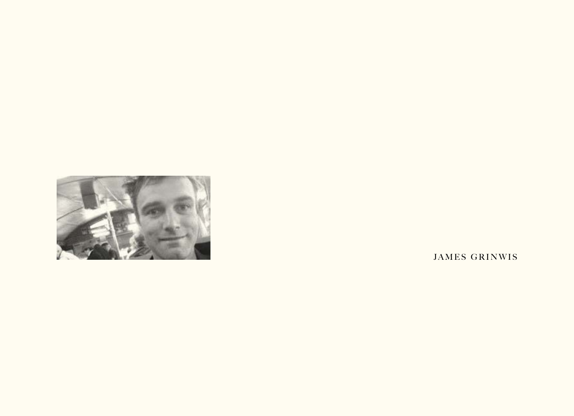

JAMES GRINWIS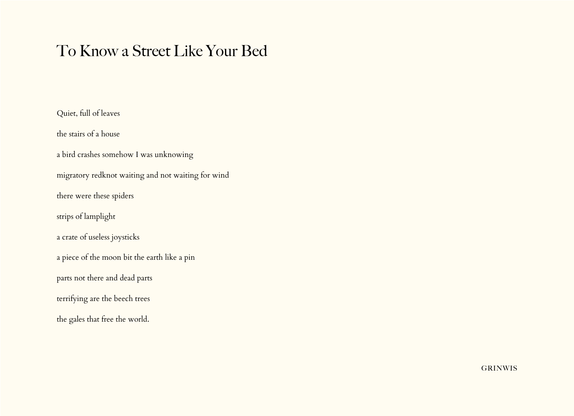# To Know a Street Like Your Bed

Quiet, full of leaves the stairs of a house a bird crashes somehow I was unknowing migratory redknot waiting and not waiting for wind there were these spiders strips of lamplight a crate of useless joysticks a piece of the moon bit the earth like a pin parts not there and dead parts terrifying are the beech trees the gales that free the world.

**GRINWIS**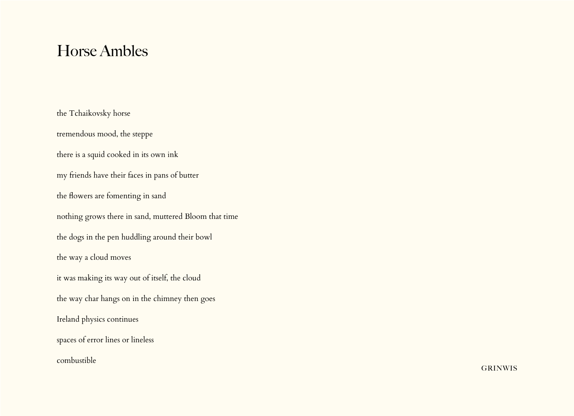### Horse Ambles

the Tchaikovsky horse tremendous mood, the steppe there is a squid cooked in its own ink my friends have their faces in pans of butter the flowers are fomenting in sand nothing grows there in sand, muttered Bloom that time the dogs in the pen huddling around their bowl the way a cloud moves it was making its way out of itself, the cloud the way char hangs on in the chimney then goes Ireland physics continues spaces of error lines or lineless combustible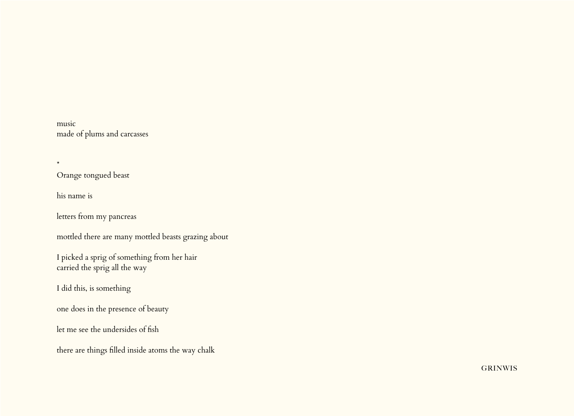music made of plums and carcasses

Orange tongued beast

his name is

\*

letters from my pancreas

mottled there are many mottled beasts grazing about

I picked a sprig of something from her hair carried the sprig all the way

I did this, is something

one does in the presence of beauty

let me see the undersides of fish

there are things filled inside atoms the way chalk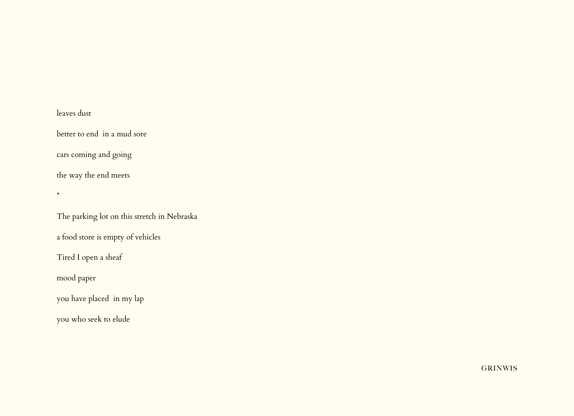#### leaves dust

\*

better to end in a mud sore

cars coming and going

the way the end meets

The parking lot on this stretch in Nebraska

a food store is empty of vehicles

Tired I open a sheaf

mood paper

you have placed in my lap

you who seek to elude

**GRINWIS**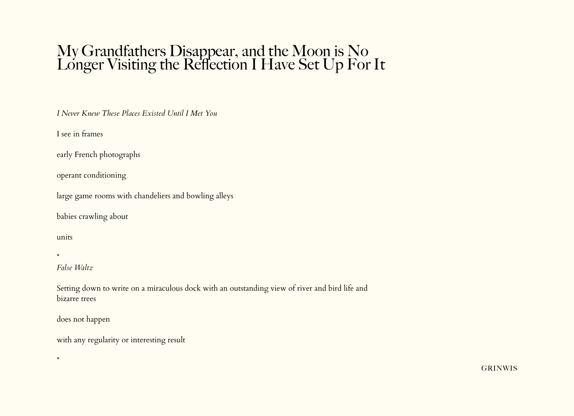# My Grandfathers Disappear, and the Moon is No Longer Visiting the Reflection I Have Set Up For It

*I Never Knew These Places Existed Until I Met You*

I see in frames

early French photographs

operant conditioning

large game rooms with chandeliers and bowling alleys

babies crawling about

units

\*

\*

*False Waltz*

Setting down to write on a miraculous dock with an outstanding view of river and bird life and bizarre trees

does not happen

with any regularity or interesting result

**GRINWIS**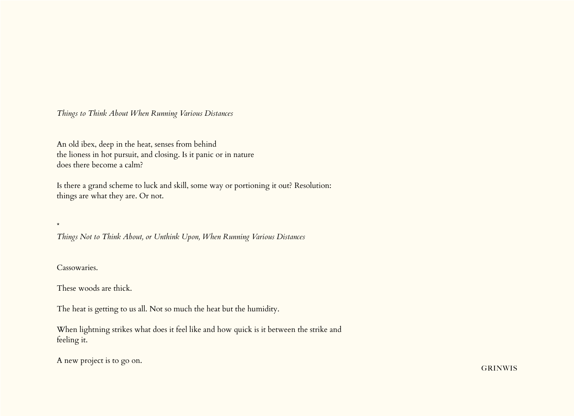*Things to Think About When Running Various Distances*

An old ibex, deep in the heat, senses from behind the lioness in hot pursuit, and closing. Is it panic or in nature does there become a calm?

Is there a grand scheme to luck and skill, some way or portioning it out? Resolution: things are what they are. Or not.

*Things Not to Think About, or Unthink Upon, When Running Various Distances*

Cassowaries.

\*

These woods are thick.

The heat is getting to us all. Not so much the heat but the humidity.

When lightning strikes what does it feel like and how quick is it between the strike and feeling it.

A new project is to go on.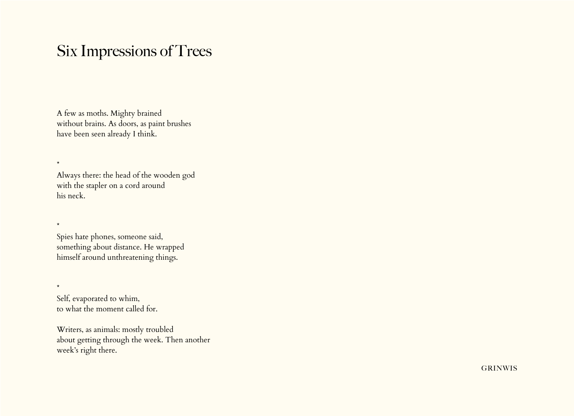## Six Impressions of Trees

A few as moths. Mighty brained without brains. As doors, as paint brushes have been seen already I think.

Always there: the head of the wooden god with the stapler on a cord around his neck.

\*

\*

\*

Spies hate phones, someone said, something about distance. He wrapped himself around unthreatening things.

Self, evaporated to whim, to what the moment called for.

Writers, as animals: mostly troubled about getting through the week. Then another week's right there.